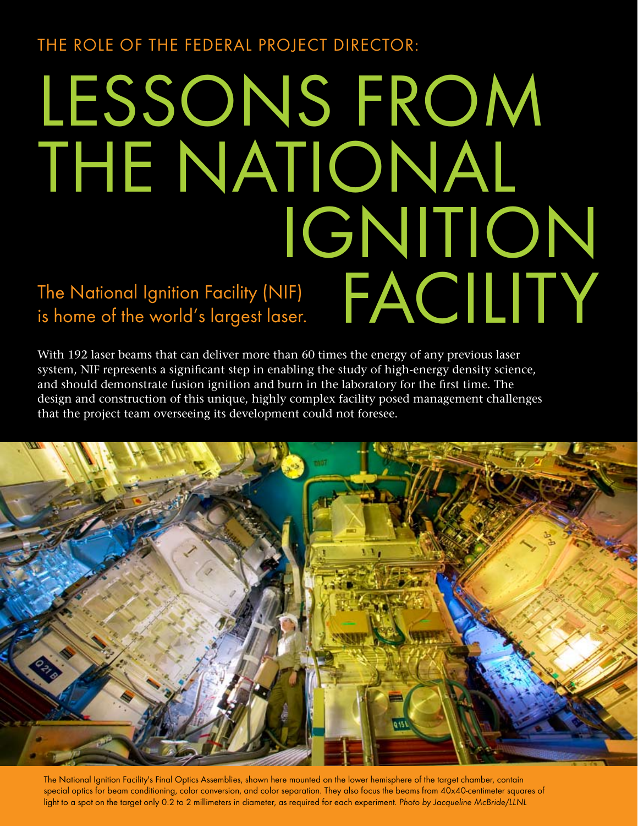The Role of the Federal Project Director:

# LESSONS FROM THE NATIONAL Ignition The National Ignition Facility (NIF)<br>is home of the world's largest laser.<br> $\begin{picture}(180,140)(-190,0) \put(0,0){\line(1,0){10}} \put(150,0){\line(1,0){10}} \put(150,0){\line(1,0){10}} \put(150,0){\line(1,0){10}} \put(150,0){\line(1,0){10}} \put(150,0){\line(1,0){10}} \put(150,0){\line(1$ is home of the world's largest laser.

With 192 laser beams that can deliver more than 60 times the energy of any previous laser system, NIF represents a significant step in enabling the study of high-energy density science, and should demonstrate fusion ignition and burn in the laboratory for the first time. The design and construction of this unique, highly complex facility posed management challenges that the project team overseeing its development could not foresee.



The National Ignition Facility's Final Optics Assemblies, shown here mounted on the lower hemisphere of the target chamber, contain special optics for beam conditioning, color conversion, and color separation. They also focus the beams from 40x40-centimeter squares of light to a spot on the target only 0.2 to 2 millimeters in diameter, as required for each experiment. Photo by Jacqueline McBride/LLNL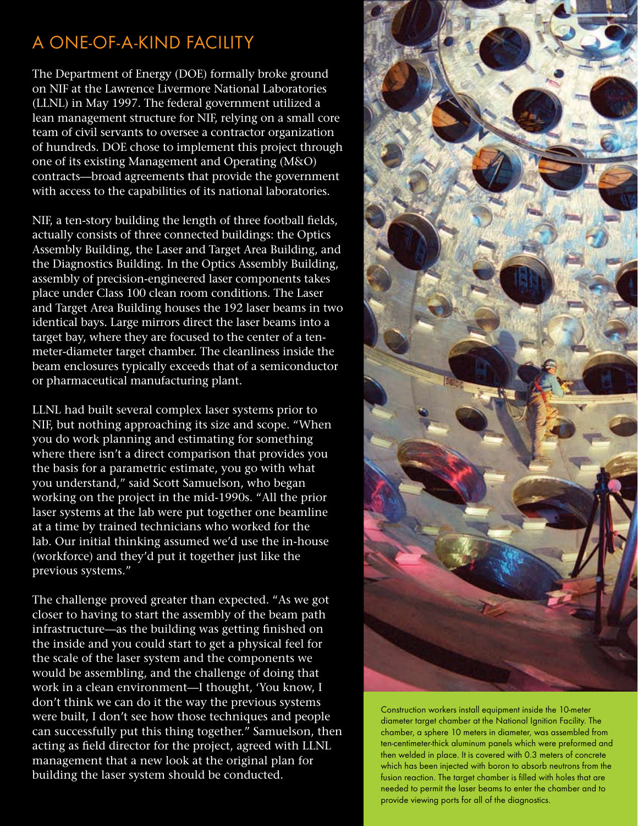## A One-of-a-Kind Facility

The Department of Energy (DOE) formally broke ground on NIF at the Lawrence Livermore National Laboratories (LLNL) in May 1997. The federal government utilized a lean management structure for NIF, relying on a small core team of civil servants to oversee a contractor organization of hundreds. DOE chose to implement this project through one of its existing Management and Operating (M&O) contracts—broad agreements that provide the government with access to the capabilities of its national laboratories.

NIF, a ten-story building the length of three football fields, actually consists of three connected buildings: the Optics Assembly Building, the Laser and Target Area Building, and the Diagnostics Building. In the Optics Assembly Building, assembly of precision-engineered laser components takes place under Class 100 clean room conditions. The Laser and Target Area Building houses the 192 laser beams in two identical bays. Large mirrors direct the laser beams into a target bay, where they are focused to the center of a tenmeter-diameter target chamber. The cleanliness inside the beam enclosures typically exceeds that of a semiconductor or pharmaceutical manufacturing plant.

LLNL had built several complex laser systems prior to NIF, but nothing approaching its size and scope. "When you do work planning and estimating for something where there isn't a direct comparison that provides you the basis for a parametric estimate, you go with what you understand," said Scott Samuelson, who began working on the project in the mid-1990s. "All the prior laser systems at the lab were put together one beamline at a time by trained technicians who worked for the lab. Our initial thinking assumed we'd use the in-house (workforce) and they'd put it together just like the previous systems."

The challenge proved greater than expected. "As we got closer to having to start the assembly of the beam path infrastructure—as the building was getting finished on the inside and you could start to get a physical feel for the scale of the laser system and the components we would be assembling, and the challenge of doing that work in a clean environment—I thought, 'You know, I don't think we can do it the way the previous systems were built, I don't see how those techniques and people can successfully put this thing together." Samuelson, then acting as field director for the project, agreed with LLNL management that a new look at the original plan for building the laser system should be conducted.



Construction workers install equipment inside the 10-meter diameter target chamber at the National Ignition Facility. The chamber, a sphere 10 meters in diameter, was assembled from ten-centimeter-thick aluminum panels which were preformed and then welded in place. It is covered with 0.3 meters of concrete which has been injected with boron to absorb neutrons from the fusion reaction. The target chamber is filled with holes that are needed to permit the laser beams to enter the chamber and to provide viewing ports for all of the diagnostics.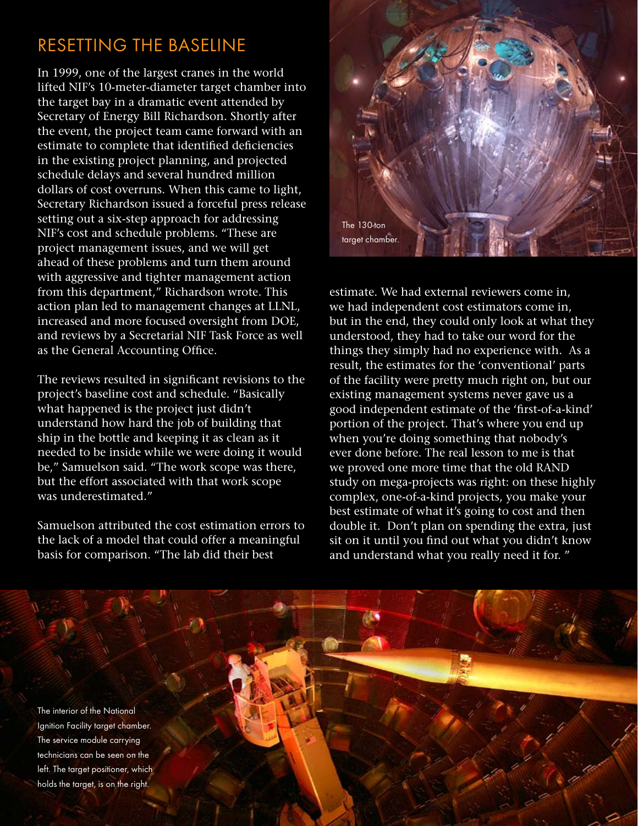### Resetting the Baseline

In 1999, one of the largest cranes in the world lifted NIF's 10-meter-diameter target chamber into the target bay in a dramatic event attended by Secretary of Energy Bill Richardson. Shortly after the event, the project team came forward with an estimate to complete that identified deficiencies in the existing project planning, and projected schedule delays and several hundred million dollars of cost overruns. When this came to light, Secretary Richardson issued a forceful press release setting out a six-step approach for addressing NIF's cost and schedule problems. "These are project management issues, and we will get ahead of these problems and turn them around with aggressive and tighter management action from this department," Richardson wrote. This action plan led to management changes at LLNL, increased and more focused oversight from DOE, and reviews by a Secretarial NIF Task Force as well as the General Accounting Office.

The reviews resulted in significant revisions to the project's baseline cost and schedule. "Basically what happened is the project just didn't understand how hard the job of building that ship in the bottle and keeping it as clean as it needed to be inside while we were doing it would be," Samuelson said. "The work scope was there, but the effort associated with that work scope was underestimated."

Samuelson attributed the cost estimation errors to the lack of a model that could offer a meaningful basis for comparison. "The lab did their best



estimate. We had external reviewers come in, we had independent cost estimators come in, but in the end, they could only look at what they understood, they had to take our word for the things they simply had no experience with. As a result, the estimates for the 'conventional' parts of the facility were pretty much right on, but our existing management systems never gave us a good independent estimate of the 'first-of-a-kind' portion of the project. That's where you end up when you're doing something that nobody's ever done before. The real lesson to me is that we proved one more time that the old RAND study on mega-projects was right: on these highly complex, one-of-a-kind projects, you make your best estimate of what it's going to cost and then double it. Don't plan on spending the extra, just sit on it until you find out what you didn't know and understand what you really need it for. "

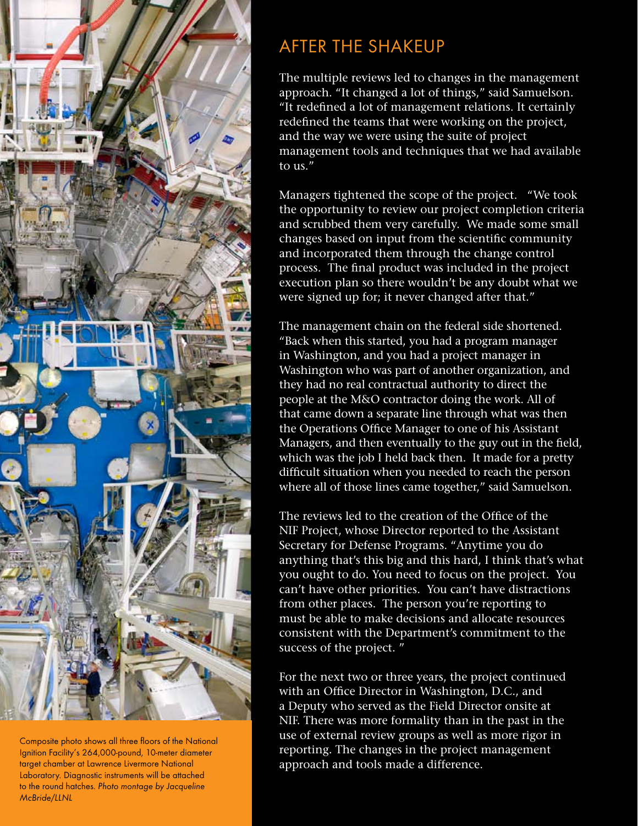

Composite photo shows all three floors of the National Ignition Facility's 264,000-pound, 10-meter diameter target chamber at Lawrence Livermore National Laboratory. Diagnostic instruments will be attached to the round hatches. Photo montage by Jacqueline McBride/LLNL

# After the Shakeup

The multiple reviews led to changes in the management approach. "It changed a lot of things," said Samuelson. "It redefined a lot of management relations. It certainly redefined the teams that were working on the project, and the way we were using the suite of project management tools and techniques that we had available to  $\text{us}$ ."

Managers tightened the scope of the project. "We took the opportunity to review our project completion criteria and scrubbed them very carefully. We made some small changes based on input from the scientific community and incorporated them through the change control process. The final product was included in the project execution plan so there wouldn't be any doubt what we were signed up for; it never changed after that."

The management chain on the federal side shortened. "Back when this started, you had a program manager in Washington, and you had a project manager in Washington who was part of another organization, and they had no real contractual authority to direct the people at the M&O contractor doing the work. All of that came down a separate line through what was then the Operations Office Manager to one of his Assistant Managers, and then eventually to the guy out in the field, which was the job I held back then. It made for a pretty difficult situation when you needed to reach the person where all of those lines came together," said Samuelson.

The reviews led to the creation of the Office of the NIF Project, whose Director reported to the Assistant Secretary for Defense Programs. "Anytime you do anything that's this big and this hard, I think that's what you ought to do. You need to focus on the project. You can't have other priorities. You can't have distractions from other places. The person you're reporting to must be able to make decisions and allocate resources consistent with the Department's commitment to the success of the project. "

For the next two or three years, the project continued with an Office Director in Washington, D.C., and a Deputy who served as the Field Director onsite at NIF. There was more formality than in the past in the use of external review groups as well as more rigor in reporting. The changes in the project management approach and tools made a difference.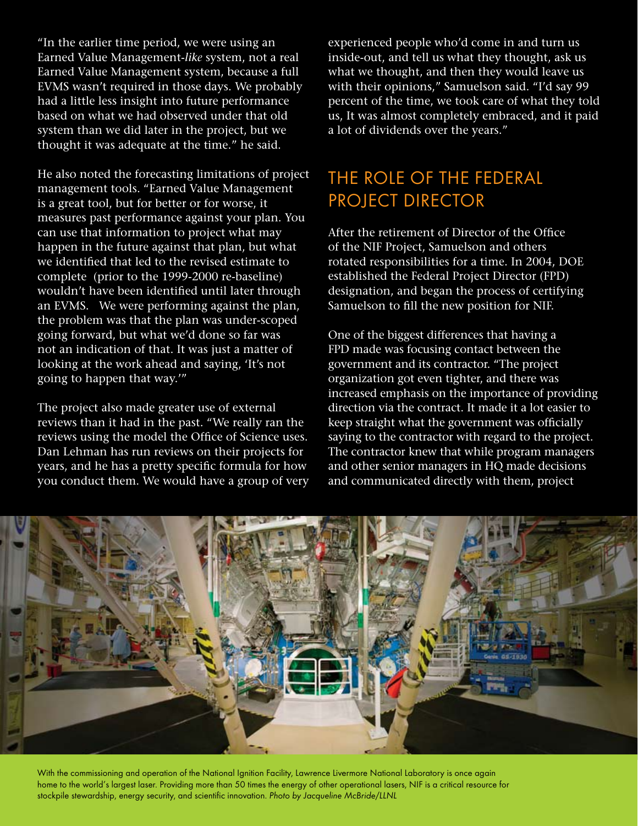"In the earlier time period, we were using an Earned Value Management-*like* system, not a real Earned Value Management system, because a full EVMS wasn't required in those days. We probably had a little less insight into future performance based on what we had observed under that old system than we did later in the project, but we thought it was adequate at the time." he said.

He also noted the forecasting limitations of project management tools. "Earned Value Management is a great tool, but for better or for worse, it measures past performance against your plan. You can use that information to project what may happen in the future against that plan, but what we identified that led to the revised estimate to complete (prior to the 1999-2000 re-baseline) wouldn't have been identified until later through an EVMS. We were performing against the plan, the problem was that the plan was under-scoped going forward, but what we'd done so far was not an indication of that. It was just a matter of looking at the work ahead and saying, 'It's not going to happen that way.'"

The project also made greater use of external reviews than it had in the past. "We really ran the reviews using the model the Office of Science uses. Dan Lehman has run reviews on their projects for years, and he has a pretty specific formula for how you conduct them. We would have a group of very experienced people who'd come in and turn us inside-out, and tell us what they thought, ask us what we thought, and then they would leave us with their opinions," Samuelson said. "I'd say 99 percent of the time, we took care of what they told us, It was almost completely embraced, and it paid a lot of dividends over the years."

#### The Role of the Federal PROJECT DIRECTOR

After the retirement of Director of the Office of the NIF Project, Samuelson and others rotated responsibilities for a time. In 2004, DOE established the Federal Project Director (FPD) designation, and began the process of certifying Samuelson to fill the new position for NIF.

One of the biggest differences that having a FPD made was focusing contact between the government and its contractor. "The project organization got even tighter, and there was increased emphasis on the importance of providing direction via the contract. It made it a lot easier to keep straight what the government was officially saying to the contractor with regard to the project. The contractor knew that while program managers and other senior managers in HQ made decisions and communicated directly with them, project



With the commissioning and operation of the National Ignition Facility, Lawrence Livermore National Laboratory is once again home to the world's largest laser. Providing more than 50 times the energy of other operational lasers, NIF is a critical resource for stockpile stewardship, energy security, and scientific innovation. Photo by Jacqueline McBride/LLNL